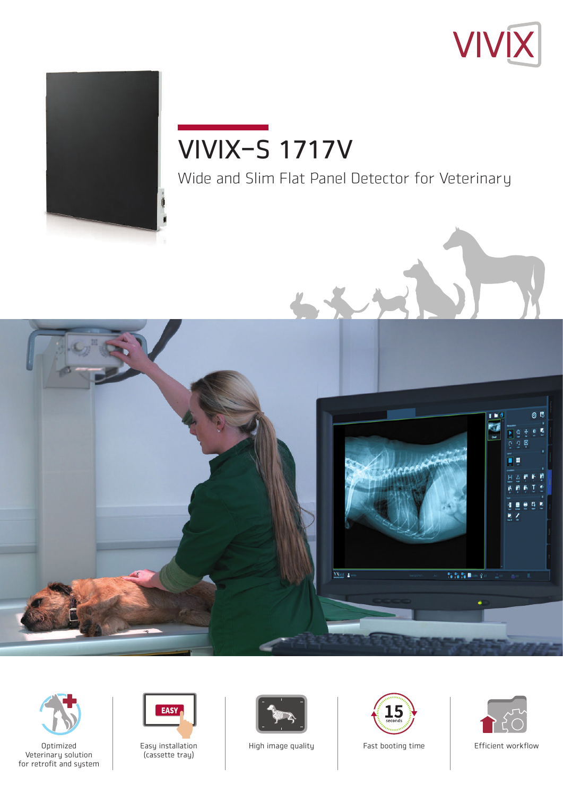



# Wide and Slim Flat Panel Detector for Veterinary VIVIX-S 1717V







Easy installation (cassette tray)





High image quality **Fast booting time** Ffficient workflow